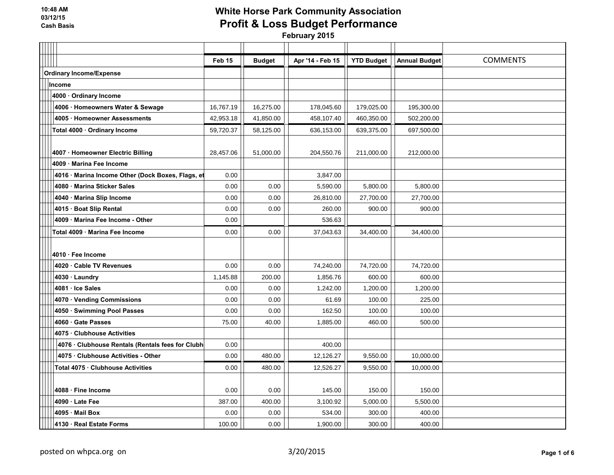|                                |                                                   | Feb 15    | <b>Budget</b> | Apr '14 - Feb 15 | <b>YTD Budget</b> | <b>Annual Budget</b> | <b>COMMENTS</b> |
|--------------------------------|---------------------------------------------------|-----------|---------------|------------------|-------------------|----------------------|-----------------|
| <b>Ordinary Income/Expense</b> |                                                   |           |               |                  |                   |                      |                 |
|                                | Income                                            |           |               |                  |                   |                      |                 |
|                                | 4000 · Ordinary Income                            |           |               |                  |                   |                      |                 |
|                                | 4006 · Homeowners Water & Sewage                  | 16,767.19 | 16,275.00     | 178,045.60       | 179,025.00        | 195,300.00           |                 |
|                                | 4005 · Homeowner Assessments                      | 42,953.18 | 41,850.00     | 458,107.40       | 460,350.00        | 502,200.00           |                 |
|                                | Total 4000 · Ordinary Income                      | 59,720.37 | 58,125.00     | 636,153.00       | 639,375.00        | 697,500.00           |                 |
|                                |                                                   |           |               |                  |                   |                      |                 |
|                                | 4007 · Homeowner Electric Billing                 | 28,457.06 | 51.000.00     | 204,550.76       | 211,000.00        | 212,000.00           |                 |
|                                | 4009 Marina Fee Income                            |           |               |                  |                   |                      |                 |
|                                | 4016 · Marina Income Other (Dock Boxes, Flags, et | 0.00      |               | 3,847.00         |                   |                      |                 |
|                                | 4080 Marina Sticker Sales                         | 0.00      | 0.00          | 5,590.00         | 5,800.00          | 5,800.00             |                 |
|                                | 4040 · Marina Slip Income                         | 0.00      | 0.00          | 26,810.00        | 27,700.00         | 27,700.00            |                 |
|                                | 4015 · Boat Slip Rental                           | 0.00      | 0.00          | 260.00           | 900.00            | 900.00               |                 |
|                                | 4009 · Marina Fee Income - Other                  | 0.00      |               | 536.63           |                   |                      |                 |
|                                | Total 4009 Marina Fee Income                      | 0.00      | 0.00          | 37,043.63        | 34,400.00         | 34,400.00            |                 |
|                                |                                                   |           |               |                  |                   |                      |                 |
|                                | 4010 · Fee Income                                 |           |               |                  |                   |                      |                 |
|                                | 4020 · Cable TV Revenues                          | 0.00      | 0.00          | 74,240.00        | 74,720.00         | 74,720.00            |                 |
|                                | 4030 · Laundry                                    | 1,145.88  | 200.00        | 1,856.76         | 600.00            | 600.00               |                 |
|                                | 4081 · Ice Sales                                  | 0.00      | 0.00          | 1,242.00         | 1,200.00          | 1,200.00             |                 |
|                                | 4070 · Vending Commissions                        | 0.00      | 0.00          | 61.69            | 100.00            | 225.00               |                 |
|                                | 4050 · Swimming Pool Passes                       | 0.00      | 0.00          | 162.50           | 100.00            | 100.00               |                 |
|                                | 4060 Gate Passes                                  | 75.00     | 40.00         | 1,885.00         | 460.00            | 500.00               |                 |
|                                | 4075 Clubhouse Activities                         |           |               |                  |                   |                      |                 |
|                                | 4076 · Clubhouse Rentals (Rentals fees for Clubh  | 0.00      |               | 400.00           |                   |                      |                 |
|                                | 4075 · Clubhouse Activities - Other               | 0.00      | 480.00        | 12,126.27        | 9,550.00          | 10,000.00            |                 |
|                                | Total 4075 · Clubhouse Activities                 | 0.00      | 480.00        | 12,526.27        | 9,550.00          | 10,000.00            |                 |
|                                |                                                   |           |               |                  |                   |                      |                 |
|                                | 4088 · Fine Income                                | 0.00      | 0.00          | 145.00           | 150.00            | 150.00               |                 |
|                                | 4090 · Late Fee                                   | 387.00    | 400.00        | 3,100.92         | 5,000.00          | 5,500.00             |                 |
|                                | 4095 Mail Box                                     | 0.00      | 0.00          | 534.00           | 300.00            | 400.00               |                 |
|                                | 4130 · Real Estate Forms                          | 100.00    | 0.00          | 1,900.00         | 300.00            | 400.00               |                 |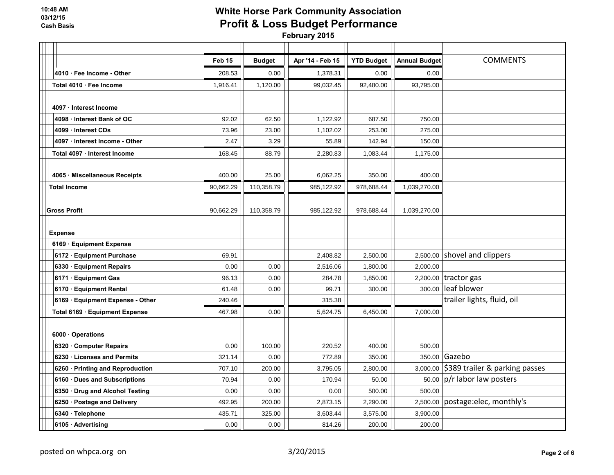|                                  | Feb 15    | <b>Budget</b> | Apr '14 - Feb 15 | <b>YTD Budget</b> | <b>Annual Budget</b> | <b>COMMENTS</b>                         |
|----------------------------------|-----------|---------------|------------------|-------------------|----------------------|-----------------------------------------|
| 4010 · Fee Income - Other        | 208.53    | 0.00          | 1,378.31         | 0.00              | 0.00                 |                                         |
| Total 4010 · Fee Income          | 1,916.41  | 1,120.00      | 99,032.45        | 92,480.00         | 93,795.00            |                                         |
|                                  |           |               |                  |                   |                      |                                         |
| 4097 Interest Income             |           |               |                  |                   |                      |                                         |
| 4098 · Interest Bank of OC       | 92.02     | 62.50         | 1,122.92         | 687.50            | 750.00               |                                         |
| 4099 Interest CDs                | 73.96     | 23.00         | 1,102.02         | 253.00            | 275.00               |                                         |
| 4097 · Interest Income - Other   | 2.47      | 3.29          | 55.89            | 142.94            | 150.00               |                                         |
| Total 4097 · Interest Income     | 168.45    | 88.79         | 2,280.83         | 1,083.44          | 1,175.00             |                                         |
|                                  |           |               |                  |                   |                      |                                         |
| 4065 · Miscellaneous Receipts    | 400.00    | 25.00         | 6,062.25         | 350.00            | 400.00               |                                         |
| <b>Total Income</b>              | 90,662.29 | 110,358.79    | 985,122.92       | 978,688.44        | 1,039,270.00         |                                         |
|                                  |           |               |                  |                   |                      |                                         |
| <b>Gross Profit</b>              | 90,662.29 | 110,358.79    | 985,122.92       | 978,688.44        | 1,039,270.00         |                                         |
|                                  |           |               |                  |                   |                      |                                         |
| <b>Expense</b>                   |           |               |                  |                   |                      |                                         |
| 6169 Equipment Expense           |           |               |                  |                   |                      |                                         |
| 6172 · Equipment Purchase        | 69.91     |               | 2,408.82         | 2,500.00          |                      | 2,500.00 shovel and clippers            |
| 6330 · Equipment Repairs         | 0.00      | 0.00          | 2,516.06         | 1,800.00          | 2,000.00             |                                         |
| 6171 · Equipment Gas             | 96.13     | 0.00          | 284.78           | 1,850.00          |                      | $2,200.00$ tractor gas                  |
| 6170 · Equipment Rental          | 61.48     | 0.00          | 99.71            | 300.00            | 300.00               | leaf blower                             |
| 6169 · Equipment Expense - Other | 240.46    |               | 315.38           |                   |                      | trailer lights, fluid, oil              |
| Total 6169 Equipment Expense     | 467.98    | 0.00          | 5,624.75         | 6,450.00          | 7,000.00             |                                         |
|                                  |           |               |                  |                   |                      |                                         |
| 6000 Operations                  |           |               |                  |                   |                      |                                         |
| 6320 Computer Repairs            | 0.00      | 100.00        | 220.52           | 400.00            | 500.00               |                                         |
| 6230 Licenses and Permits        | 321.14    | 0.00          | 772.89           | 350.00            |                      | 350.00 Gazebo                           |
| 6260 · Printing and Reproduction | 707.10    | 200.00        | 3,795.05         | 2,800.00          |                      | 3,000.00 \$389 trailer & parking passes |
| 6160 · Dues and Subscriptions    | 70.94     | 0.00          | 170.94           | 50.00             |                      | 50.00 $ p/r $ labor law posters         |
| 6350 · Drug and Alcohol Testing  | 0.00      | 0.00          | 0.00             | 500.00            | 500.00               |                                         |
| 6250 · Postage and Delivery      | 492.95    | 200.00        | 2,873.15         | 2,290.00          |                      | 2,500.00 postage:elec, monthly's        |
| 6340 · Telephone                 | 435.71    | 325.00        | 3,603.44         | 3,575.00          | 3,900.00             |                                         |
| 6105 · Advertising               | 0.00      | 0.00          | 814.26           | 200.00            | 200.00               |                                         |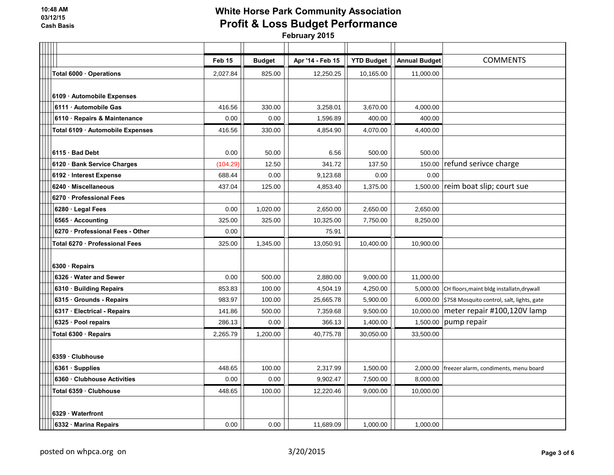|                                  | Feb 15   | <b>Budget</b> | Apr '14 - Feb 15 | <b>YTD Budget</b> | <b>Annual Budget</b> | <b>COMMENTS</b>                                     |
|----------------------------------|----------|---------------|------------------|-------------------|----------------------|-----------------------------------------------------|
| Total 6000 · Operations          | 2,027.84 | 825.00        | 12,250.25        | 10,165.00         | 11,000.00            |                                                     |
|                                  |          |               |                  |                   |                      |                                                     |
| 6109 - Automobile Expenses       |          |               |                  |                   |                      |                                                     |
| 6111 · Automobile Gas            | 416.56   | 330.00        | 3,258.01         | 3,670.00          | 4,000.00             |                                                     |
| 6110 · Repairs & Maintenance     | 0.00     | 0.00          | 1,596.89         | 400.00            | 400.00               |                                                     |
| Total 6109 · Automobile Expenses | 416.56   | 330.00        | 4,854.90         | 4,070.00          | 4,400.00             |                                                     |
|                                  |          |               |                  |                   |                      |                                                     |
| 6115 · Bad Debt                  | 0.00     | 50.00         | 6.56             | 500.00            | 500.00               |                                                     |
| 6120 · Bank Service Charges      | (104.29) | 12.50         | 341.72           | 137.50            | 150.00               | refund serivce charge                               |
| 6192 · Interest Expense          | 688.44   | 0.00          | 9,123.68         | 0.00              | 0.00                 |                                                     |
| 6240 Miscellaneous               | 437.04   | 125.00        | 4,853.40         | 1,375.00          |                      | 1,500.00 reim boat slip; court sue                  |
| 6270 - Professional Fees         |          |               |                  |                   |                      |                                                     |
| 6280 · Legal Fees                | 0.00     | 1,020.00      | 2,650.00         | 2,650.00          | 2,650.00             |                                                     |
| 6565 · Accounting                | 325.00   | 325.00        | 10,325.00        | 7,750.00          | 8,250.00             |                                                     |
| 6270 · Professional Fees - Other | 0.00     |               | 75.91            |                   |                      |                                                     |
| Total 6270 · Professional Fees   | 325.00   | 1,345.00      | 13,050.91        | 10,400.00         | 10,900.00            |                                                     |
|                                  |          |               |                  |                   |                      |                                                     |
| 6300 · Repairs                   |          |               |                  |                   |                      |                                                     |
| 6326 · Water and Sewer           | 0.00     | 500.00        | 2,880.00         | 9,000.00          | 11,000.00            |                                                     |
| 6310 · Building Repairs          | 853.83   | 100.00        | 4,504.19         | 4,250.00          |                      | 5,000.00 CH floors, maint bldg installatn, drywall  |
| 6315 Grounds - Repairs           | 983.97   | 100.00        | 25,665.78        | 5,900.00          |                      | 6,000.00 \$758 Mosquito control, salt, lights, gate |
| 6317 · Electrical - Repairs      | 141.86   | 500.00        | 7,359.68         | 9,500.00          |                      | 10,000.00 meter repair #100,120V lamp               |
| 6325 · Pool repairs              | 286.13   | 0.00          | 366.13           | 1,400.00          | 1,500.00             | pump repair                                         |
| Total 6300 · Repairs             | 2,265.79 | 1,200.00      | 40,775.78        | 30,050.00         | 33,500.00            |                                                     |
|                                  |          |               |                  |                   |                      |                                                     |
| 6359 Clubhouse                   |          |               |                  |                   |                      |                                                     |
| 6361 · Supplies                  | 448.65   | 100.00        | 2,317.99         | 1,500.00          |                      | 2,000.00   freezer alarm, condiments, menu board    |
| 6360 Clubhouse Activities        | 0.00     | 0.00          | 9,902.47         | 7,500.00          | 8,000.00             |                                                     |
| Total 6359 · Clubhouse           | 448.65   | 100.00        | 12,220.46        | 9,000.00          | 10,000.00            |                                                     |
|                                  |          |               |                  |                   |                      |                                                     |
| 6329 Waterfront                  |          |               |                  |                   |                      |                                                     |
| 6332 · Marina Repairs            | 0.00     | 0.00          | 11,689.09        | 1,000.00          | 1,000.00             |                                                     |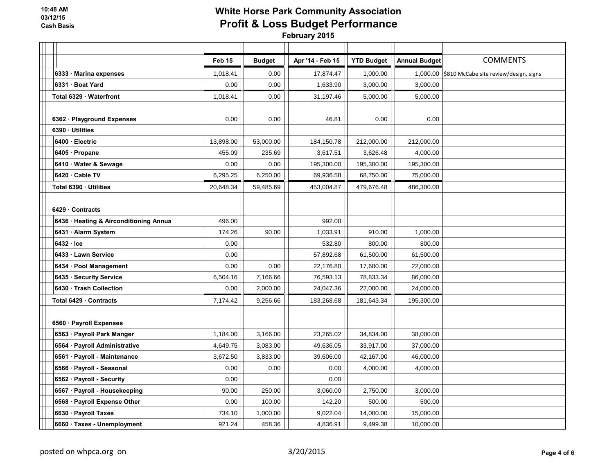|                                        | Feb 15    | <b>Budget</b> | Apr '14 - Feb 15 | <b>YTD Budget</b> | <b>Annual Budget</b> | <b>COMMENTS</b>                                 |
|----------------------------------------|-----------|---------------|------------------|-------------------|----------------------|-------------------------------------------------|
| 6333 Marina expenses                   | 1,018.41  | 0.00          | 17,874.47        | 1,000.00          |                      | 1,000.00 \$810 McCabe site review/design, signs |
| 6331 · Boat Yard                       | 0.00      | 0.00          | 1,633.90         | 3,000.00          | 3,000.00             |                                                 |
| Total 6329 Waterfront                  | 1,018.41  | 0.00          | 31,197.46        | 5,000.00          | 5,000.00             |                                                 |
|                                        |           |               |                  |                   |                      |                                                 |
| 6362 · Playground Expenses             | 0.00      | 0.00          | 46.81            | 0.00              | 0.00                 |                                                 |
| 6390 · Utilities                       |           |               |                  |                   |                      |                                                 |
| 6400 · Electric                        | 13,898.00 | 53,000.00     | 184,150.78       | 212,000.00        | 212,000.00           |                                                 |
| 6405 · Propane                         | 455.09    | 235.69        | 3,617.51         | 3,626.48          | 4,000.00             |                                                 |
| 6410 · Water & Sewage                  | 0.00      | 0.00          | 195,300.00       | 195,300.00        | 195,300.00           |                                                 |
| 6420 Cable TV                          | 6,295.25  | 6,250.00      | 69,936.58        | 68,750.00         | 75,000.00            |                                                 |
| Total 6390 · Utilities                 | 20,648.34 | 59,485.69     | 453,004.87       | 479,676.48        | 486,300.00           |                                                 |
|                                        |           |               |                  |                   |                      |                                                 |
| 6429 Contracts                         |           |               |                  |                   |                      |                                                 |
| 6436 · Heating & Airconditioning Annua | 496.00    |               | 992.00           |                   |                      |                                                 |
| 6431 · Alarm System                    | 174.26    | 90.00         | 1,033.91         | 910.00            | 1,000.00             |                                                 |
| $6432 \cdot$ Ice                       | 0.00      |               | 532.80           | 800.00            | 800.00               |                                                 |
| 6433 · Lawn Service                    | 0.00      |               | 57,892.68        | 61,500.00         | 61,500.00            |                                                 |
| 6434 · Pool Management                 | 0.00      | 0.00          | 22,176.80        | 17,600.00         | 22,000.00            |                                                 |
| 6435 · Security Service                | 6,504.16  | 7,166.66      | 76,593.13        | 78,833.34         | 86,000.00            |                                                 |
| 6430 Trash Collection                  | 0.00      | 2,000.00      | 24,047.36        | 22,000.00         | 24,000.00            |                                                 |
| Total 6429 · Contracts                 | 7,174.42  | 9,256.66      | 183,268.68       | 181,643.34        | 195,300.00           |                                                 |
|                                        |           |               |                  |                   |                      |                                                 |
| 6560 · Payroll Expenses                |           |               |                  |                   |                      |                                                 |
| 6563 · Payroll Park Manger             | 1,184.00  | 3,166.00      | 23,265.02        | 34,834.00         | 38,000.00            |                                                 |
| 6564 · Payroll Administrative          | 4,649.75  | 3,083.00      | 49,636.05        | 33,917.00         | 37,000.00            |                                                 |
| 6561 · Payroll - Maintenance           | 3,672.50  | 3,833.00      | 39,606.00        | 42,167.00         | 46,000.00            |                                                 |
| 6566 · Payroll - Seasonal              | 0.00      | 0.00          | 0.00             | 4,000.00          | 4,000.00             |                                                 |
| 6562 · Payroll - Security              | 0.00      |               | 0.00             |                   |                      |                                                 |
| 6567 · Payroll - Housekeeping          | 90.00     | 250.00        | 3,060.00         | 2,750.00          | 3,000.00             |                                                 |
| 6568 · Payroll Expense Other           | 0.00      | 100.00        | 142.20           | 500.00            | 500.00               |                                                 |
| 6630 · Payroll Taxes                   | 734.10    | 1,000.00      | 9,022.04         | 14,000.00         | 15,000.00            |                                                 |
| 6660 · Taxes - Unemployment            | 921.24    | 458.36        | 4,836.91         | 9,499.38          | 10,000.00            |                                                 |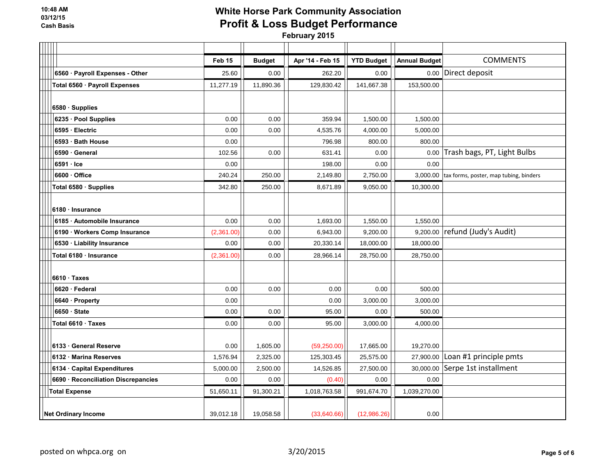|                                     | Feb 15     | <b>Budget</b> | Apr '14 - Feb 15 | <b>YTD Budget</b> | <b>Annual Budget</b> | <b>COMMENTS</b>                        |
|-------------------------------------|------------|---------------|------------------|-------------------|----------------------|----------------------------------------|
| 6560 · Payroll Expenses - Other     | 25.60      | 0.00          | 262.20           | 0.00              | 0.00                 | Direct deposit                         |
| Total 6560 · Payroll Expenses       | 11,277.19  | 11,890.36     | 129,830.42       | 141,667.38        | 153,500.00           |                                        |
|                                     |            |               |                  |                   |                      |                                        |
| 6580 Supplies                       |            |               |                  |                   |                      |                                        |
| 6235 · Pool Supplies                | 0.00       | 0.00          | 359.94           | 1,500.00          | 1,500.00             |                                        |
| 6595 · Electric                     | 0.00       | 0.00          | 4,535.76         | 4,000.00          | 5,000.00             |                                        |
| 6593 · Bath House                   | 0.00       |               | 796.98           | 800.00            | 800.00               |                                        |
| 6590 General                        | 102.56     | 0.00          | 631.41           | 0.00              | 0.00                 | Trash bags, PT, Light Bulbs            |
| $6591 \cdot$ Ice                    | 0.00       |               | 198.00           | 0.00              | 0.00                 |                                        |
| 6600 Office                         | 240.24     | 250.00        | 2,149.80         | 2,750.00          | 3,000.00             | tax forms, poster, map tubing, binders |
| Total 6580 · Supplies               | 342.80     | 250.00        | 8,671.89         | 9,050.00          | 10,300.00            |                                        |
|                                     |            |               |                  |                   |                      |                                        |
| 6180 · Insurance                    |            |               |                  |                   |                      |                                        |
| 6185 Automobile Insurance           | 0.00       | 0.00          | 1,693.00         | 1,550.00          | 1,550.00             |                                        |
| 6190 · Workers Comp Insurance       | (2,361.00) | 0.00          | 6,943.00         | 9,200.00          | 9,200.00             | refund (Judy's Audit)                  |
| 6530 · Liability Insurance          | 0.00       | 0.00          | 20,330.14        | 18,000.00         | 18,000.00            |                                        |
| Total 6180 Insurance                | (2,361.00) | 0.00          | 28,966.14        | 28,750.00         | 28,750.00            |                                        |
|                                     |            |               |                  |                   |                      |                                        |
| $6610 \cdot \text{Taxes}$           |            |               |                  |                   |                      |                                        |
| 6620 · Federal                      | 0.00       | 0.00          | 0.00             | 0.00              | 500.00               |                                        |
| 6640 · Property                     | 0.00       |               | 0.00             | 3,000.00          | 3,000.00             |                                        |
| 6650 · State                        | 0.00       | 0.00          | 95.00            | 0.00              | 500.00               |                                        |
| Total 6610 · Taxes                  | 0.00       | 0.00          | 95.00            | 3,000.00          | 4,000.00             |                                        |
|                                     |            |               |                  |                   |                      |                                        |
| 6133 General Reserve                | 0.00       | 1,605.00      | (59, 250.00)     | 17,665.00         | 19,270.00            |                                        |
| 6132 Marina Reserves                | 1,576.94   | 2,325.00      | 125,303.45       | 25,575.00         | 27,900.00            | Loan #1 principle pmts                 |
| 6134 Capital Expenditures           | 5,000.00   | 2,500.00      | 14,526.85        | 27,500.00         |                      | 30,000.00 Serpe 1st installment        |
| 6690 · Reconciliation Discrepancies | 0.00       | 0.00          | (0.40)           | 0.00              | 0.00                 |                                        |
| <b>Total Expense</b>                | 51,650.11  | 91,300.21     | 1,018,763.58     | 991,674.70        | 1,039,270.00         |                                        |
|                                     |            |               |                  |                   |                      |                                        |
| <b>Net Ordinary Income</b>          | 39,012.18  | 19,058.58     | (33,640.66)      | (12,986.26)       | 0.00                 |                                        |